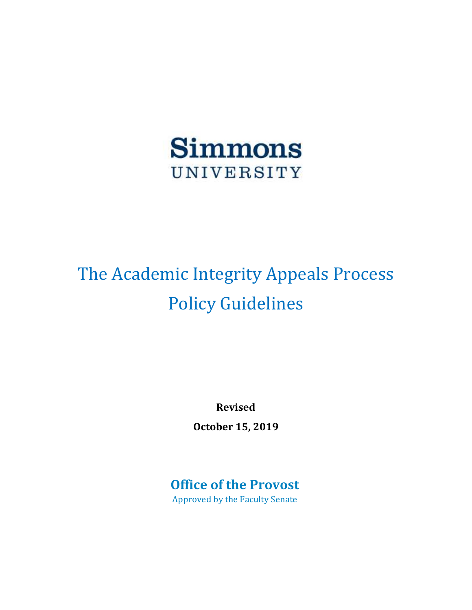

# The Academic Integrity Appeals Process Policy Guidelines

**Revised** 

**October 15, 2019** 

# **Office of the Provost**

Approved by the Faculty Senate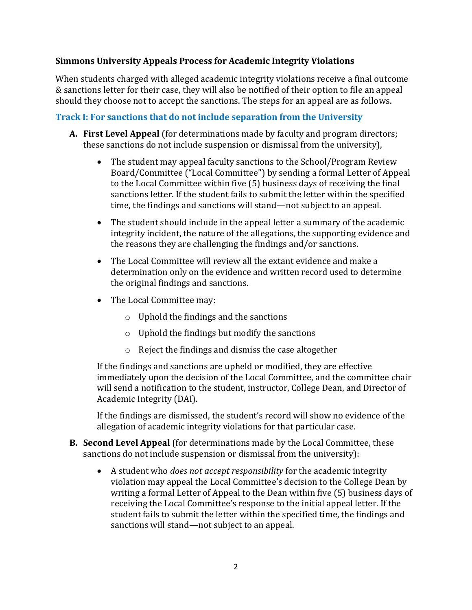#### **Simmons University Appeals Process for Academic Integrity Violations**

When students charged with alleged academic integrity violations receive a final outcome & sanctions letter for their case, they will also be notified of their option to file an appeal should they choose not to accept the sanctions. The steps for an appeal are as follows.

## **Track I: For sanctions that do not include separation from the University**

- **A. First Level Appeal** (for determinations made by faculty and program directors; these sanctions do not include suspension or dismissal from the university),
	- The student may appeal faculty sanctions to the School/Program Review Board/Committee ("Local Committee") by sending a formal Letter of Appeal to the Local Committee within five (5) business days of receiving the final sanctions letter. If the student fails to submit the letter within the specified time, the findings and sanctions will stand—not subject to an appeal.
	- The student should include in the appeal letter a summary of the academic integrity incident, the nature of the allegations, the supporting evidence and the reasons they are challenging the findings and/or sanctions.
	- The Local Committee will review all the extant evidence and make a determination only on the evidence and written record used to determine the original findings and sanctions.
	- The Local Committee may:
		- o Uphold the findings and the sanctions
		- o Uphold the findings but modify the sanctions
		- o Reject the findings and dismiss the case altogether

If the findings and sanctions are upheld or modified, they are effective immediately upon the decision of the Local Committee, and the committee chair will send a notification to the student, instructor, College Dean, and Director of Academic Integrity (DAI).

If the findings are dismissed, the student's record will show no evidence of the allegation of academic integrity violations for that particular case.

- **B. Second Level Appeal** (for determinations made by the Local Committee, these sanctions do not include suspension or dismissal from the university):
	- A student who *does not accept responsibility* for the academic integrity violation may appeal the Local Committee's decision to the College Dean by writing a formal Letter of Appeal to the Dean within five (5) business days of receiving the Local Committee's response to the initial appeal letter. If the student fails to submit the letter within the specified time, the findings and sanctions will stand—not subject to an appeal.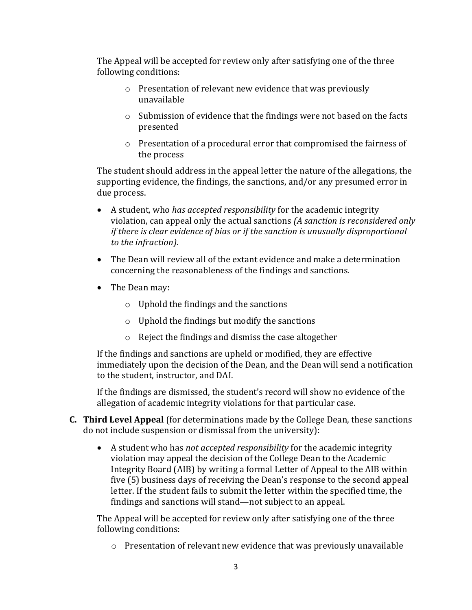The Appeal will be accepted for review only after satisfying one of the three following conditions:

- o Presentation of relevant new evidence that was previously unavailable
- o Submission of evidence that the findings were not based on the facts presented
- o Presentation of a procedural error that compromised the fairness of the process

The student should address in the appeal letter the nature of the allegations, the supporting evidence, the findings, the sanctions, and/or any presumed error in due process.

- A student, who *has accepted responsibility* for the academic integrity violation, can appeal only the actual sanctions *(A sanction is reconsidered only if there is clear evidence of bias or if the sanction is unusually disproportional to the infraction).*
- The Dean will review all of the extant evidence and make a determination concerning the reasonableness of the findings and sanctions.
- The Dean may:
	- o Uphold the findings and the sanctions
	- $\circ$  Uphold the findings but modify the sanctions
	- o Reject the findings and dismiss the case altogether

If the findings and sanctions are upheld or modified, they are effective immediately upon the decision of the Dean, and the Dean will send a notification to the student, instructor, and DAI.

If the findings are dismissed, the student's record will show no evidence of the allegation of academic integrity violations for that particular case.

- **C. Third Level Appeal** (for determinations made by the College Dean, these sanctions do not include suspension or dismissal from the university):
	- A student who has *not accepted responsibility* for the academic integrity violation may appeal the decision of the College Dean to the Academic Integrity Board (AIB) by writing a formal Letter of Appeal to the AIB within five (5) business days of receiving the Dean's response to the second appeal letter. If the student fails to submit the letter within the specified time, the findings and sanctions will stand—not subject to an appeal.

The Appeal will be accepted for review only after satisfying one of the three following conditions:

o Presentation of relevant new evidence that was previously unavailable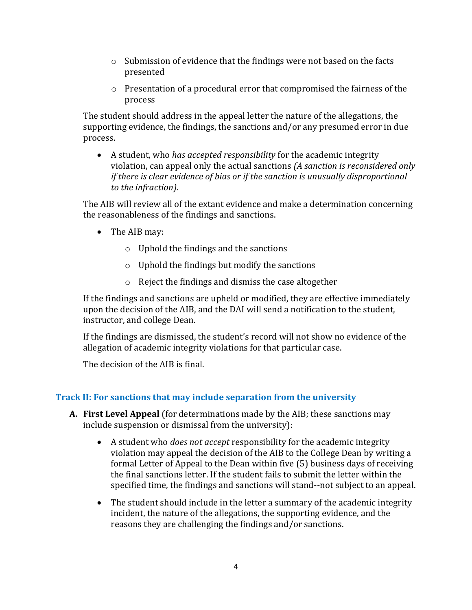- o Submission of evidence that the findings were not based on the facts presented
- o Presentation of a procedural error that compromised the fairness of the process

The student should address in the appeal letter the nature of the allegations, the supporting evidence, the findings, the sanctions and/or any presumed error in due process.

 A student, who *has accepted responsibility* for the academic integrity violation, can appeal only the actual sanctions *(A sanction is reconsidered only if there is clear evidence of bias or if the sanction is unusually disproportional to the infraction).* 

The AIB will review all of the extant evidence and make a determination concerning the reasonableness of the findings and sanctions.

- The AIB may:
	- o Uphold the findings and the sanctions
	- $\circ$  Uphold the findings but modify the sanctions
	- o Reject the findings and dismiss the case altogether

If the findings and sanctions are upheld or modified, they are effective immediately upon the decision of the AIB, and the DAI will send a notification to the student, instructor, and college Dean.

If the findings are dismissed, the student's record will not show no evidence of the allegation of academic integrity violations for that particular case.

The decision of the AIB is final.

## **Track II: For sanctions that may include separation from the university**

- **A. First Level Appeal** (for determinations made by the AIB; these sanctions may include suspension or dismissal from the university):
	- A student who *does not accept* responsibility for the academic integrity violation may appeal the decision of the AIB to the College Dean by writing a formal Letter of Appeal to the Dean within five (5) business days of receiving the final sanctions letter. If the student fails to submit the letter within the specified time, the findings and sanctions will stand--not subject to an appeal.
	- The student should include in the letter a summary of the academic integrity incident, the nature of the allegations, the supporting evidence, and the reasons they are challenging the findings and/or sanctions.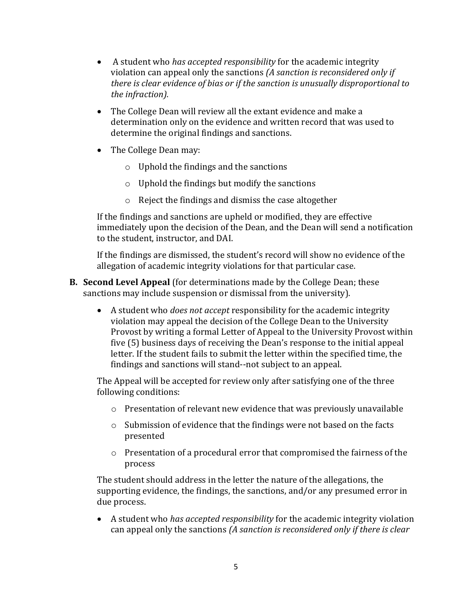- A student who *has accepted responsibility* for the academic integrity violation can appeal only the sanctions *(A sanction is reconsidered only if there is clear evidence of bias or if the sanction is unusually disproportional to the infraction).*
- The College Dean will review all the extant evidence and make a determination only on the evidence and written record that was used to determine the original findings and sanctions.
- The College Dean may:
	- o Uphold the findings and the sanctions
	- o Uphold the findings but modify the sanctions
	- o Reject the findings and dismiss the case altogether

If the findings and sanctions are upheld or modified, they are effective immediately upon the decision of the Dean, and the Dean will send a notification to the student, instructor, and DAI.

If the findings are dismissed, the student's record will show no evidence of the allegation of academic integrity violations for that particular case.

- **B. Second Level Appeal** (for determinations made by the College Dean; these sanctions may include suspension or dismissal from the university).
	- A student who *does not accept* responsibility for the academic integrity violation may appeal the decision of the College Dean to the University Provost by writing a formal Letter of Appeal to the University Provost within five (5) business days of receiving the Dean's response to the initial appeal letter. If the student fails to submit the letter within the specified time, the findings and sanctions will stand--not subject to an appeal.

The Appeal will be accepted for review only after satisfying one of the three following conditions:

- $\circ$  Presentation of relevant new evidence that was previously unavailable
- o Submission of evidence that the findings were not based on the facts presented
- o Presentation of a procedural error that compromised the fairness of the process

The student should address in the letter the nature of the allegations, the supporting evidence, the findings, the sanctions, and/or any presumed error in due process.

 A student who *has accepted responsibility* for the academic integrity violation can appeal only the sanctions *(A sanction is reconsidered only if there is clear*